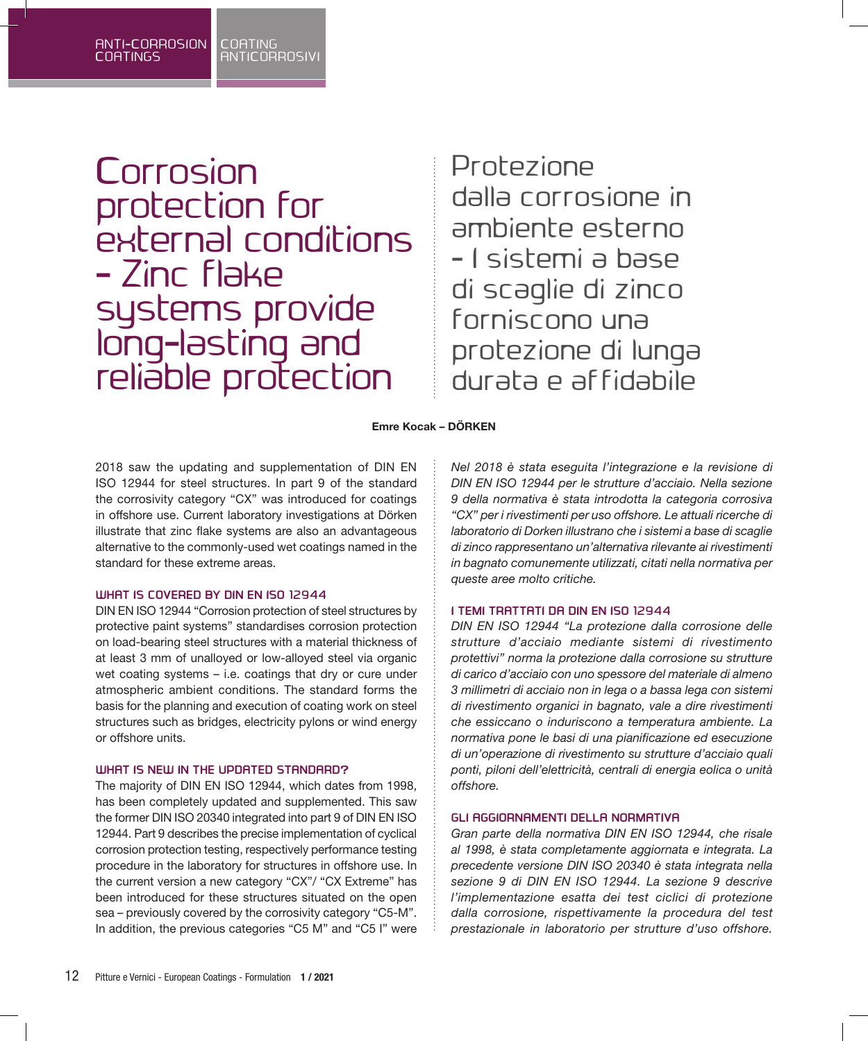Corrosion protection for external conditions - Zinc flake systems provide long-lasting and reliable protection

Protezione dalla corrosione in ambiente esterno - I sistemi a base di scaglie di zinco forniscono una protezione di lunga durata e af fidabile

**Emre Kocak – DÖRKEN**

2018 saw the updating and supplementation of DIN EN ISO 12944 for steel structures. In part 9 of the standard the corrosivity category "CX" was introduced for coatings in offshore use. Current laboratory investigations at Dörken illustrate that zinc flake systems are also an advantageous alternative to the commonly-used wet coatings named in the standard for these extreme areas.

### **WHAT IS COVERED BY DIN EN ISO 12944**

DIN EN ISO 12944 "Corrosion protection of steel structures by protective paint systems" standardises corrosion protection on load-bearing steel structures with a material thickness of at least 3 mm of unalloyed or low-alloyed steel via organic wet coating systems – i.e. coatings that dry or cure under atmospheric ambient conditions. The standard forms the basis for the planning and execution of coating work on steel structures such as bridges, electricity pylons or wind energy or offshore units.

### **WHAT IS NEW IN THE UPDATED STANDARD?**

The majority of DIN EN ISO 12944, which dates from 1998, has been completely updated and supplemented. This saw the former DIN ISO 20340 integrated into part 9 of DIN EN ISO 12944. Part 9 describes the precise implementation of cyclical corrosion protection testing, respectively performance testing procedure in the laboratory for structures in offshore use. In the current version a new category "CX"/ "CX Extreme" has been introduced for these structures situated on the open sea – previously covered by the corrosivity category "C5-M". In addition, the previous categories "C5 M" and "C5 I" were

*Nel 2018 è stata eseguita l'integrazione e la revisione di DIN EN ISO 12944 per le strutture d'acciaio. Nella sezione 9 della normativa è stata introdotta la categoria corrosiva "CX" per i rivestimenti per uso offshore. Le attuali ricerche di laboratorio di Dorken illustrano che i sistemi a base di scaglie di zinco rappresentano un'alternativa rilevante ai rivestimenti in bagnato comunemente utilizzati, citati nella normativa per queste aree molto critiche.*

### **I TEMI TRATTATI DA DIN EN ISO 12944**

*DIN EN ISO 12944 "La protezione dalla corrosione delle strutture d'acciaio mediante sistemi di rivestimento protettivi" norma la protezione dalla corrosione su strutture di carico d'acciaio con uno spessore del materiale di almeno 3 millimetri di acciaio non in lega o a bassa lega con sistemi di rivestimento organici in bagnato, vale a dire rivestimenti che essiccano o induriscono a temperatura ambiente. La normativa pone le basi di una pianificazione ed esecuzione di un'operazione di rivestimento su strutture d'acciaio quali ponti, piloni dell'elettricità, centrali di energia eolica o unità offshore.*

#### **GLI AGGIORNAMENTI DELLA NORMATIVA**

*Gran parte della normativa DIN EN ISO 12944, che risale al 1998, è stata completamente aggiornata e integrata. La precedente versione DIN ISO 20340 è stata integrata nella sezione 9 di DIN EN ISO 12944. La sezione 9 descrive l'implementazione esatta dei test ciclici di protezione dalla corrosione, rispettivamente la procedura del test prestazionale in laboratorio per strutture d'uso offshore.*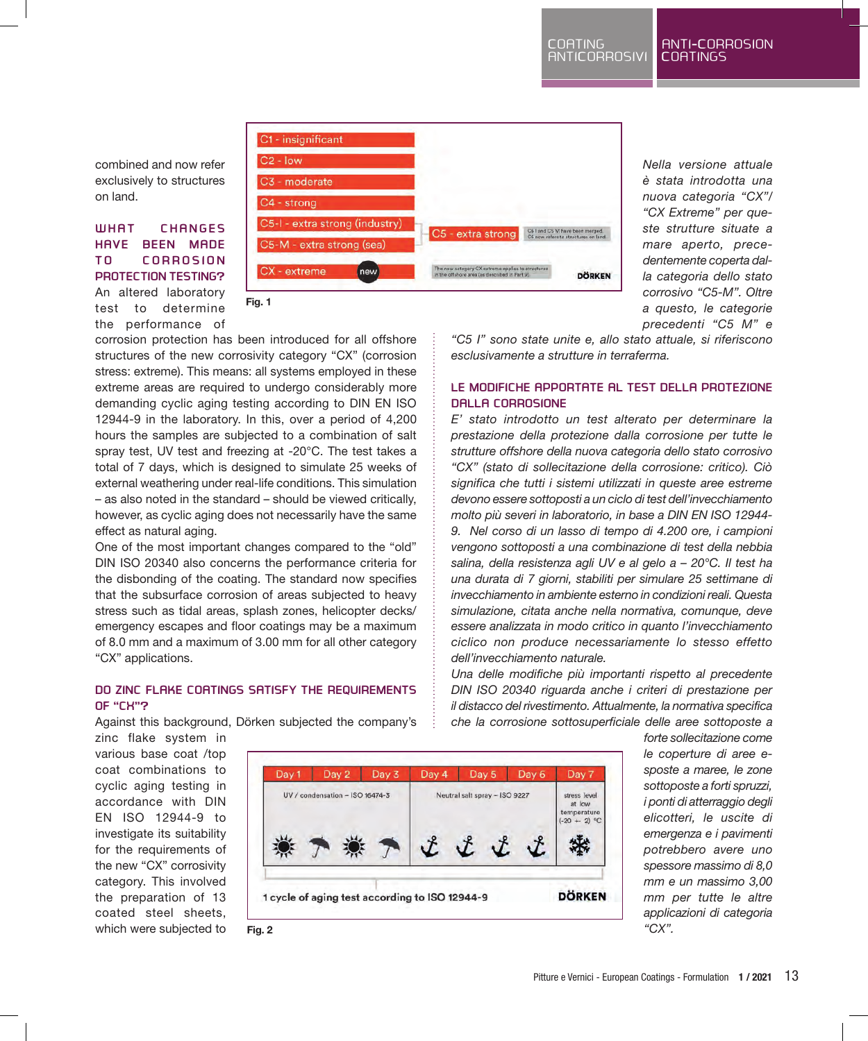combined and now refer exclusively to structures on land.

# **WHAT CHANGES HAVE BEEN MADE TO CORROSION PROTECTION TESTING?** An altered laboratory test to determine the performance of



*Nella versione attuale è stata introdotta una nuova categoria "CX"/ "CX Extreme" per queste strutture situate a mare aperto, precedentemente coperta dalla categoria dello stato corrosivo "C5-M". Oltre a questo, le categorie precedenti "C5 M" e* 

corrosion protection has been introduced for all offshore structures of the new corrosivity category "CX" (corrosion stress: extreme). This means: all systems employed in these extreme areas are required to undergo considerably more demanding cyclic aging testing according to DIN EN ISO 12944-9 in the laboratory. In this, over a period of 4,200 hours the samples are subjected to a combination of salt spray test, UV test and freezing at -20°C. The test takes a total of 7 days, which is designed to simulate 25 weeks of external weathering under real-life conditions. This simulation – as also noted in the standard – should be viewed critically, however, as cyclic aging does not necessarily have the same effect as natural aging.

One of the most important changes compared to the "old" DIN ISO 20340 also concerns the performance criteria for the disbonding of the coating. The standard now specifies that the subsurface corrosion of areas subjected to heavy stress such as tidal areas, splash zones, helicopter decks/ emergency escapes and floor coatings may be a maximum of 8.0 mm and a maximum of 3.00 mm for all other category "CX" applications.

# **DO ZINC FLAKE COATINGS SATISFY THE REQUIREMENTS OF "CX"?**

Against this background, Dörken subjected the company's

*"C5 I" sono state unite e, allo stato attuale, si riferiscono esclusivamente a strutture in terraferma.*

# **LE MODIFICHE APPORTATE AL TEST DELLA PROTEZIONE DALLA CORROSIONE**

*E' stato introdotto un test alterato per determinare la prestazione della protezione dalla corrosione per tutte le strutture offshore della nuova categoria dello stato corrosivo "CX" (stato di sollecitazione della corrosione: critico). Ciò significa che tutti i sistemi utilizzati in queste aree estreme devono essere sottoposti a un ciclo di test dell'invecchiamento molto più severi in laboratorio, in base a DIN EN ISO 12944- 9. Nel corso di un lasso di tempo di 4.200 ore, i campioni vengono sottoposti a una combinazione di test della nebbia salina, della resistenza agli UV e al gelo a – 20°C. Il test ha una durata di 7 giorni, stabiliti per simulare 25 settimane di invecchiamento in ambiente esterno in condizioni reali. Questa simulazione, citata anche nella normativa, comunque, deve essere analizzata in modo critico in quanto l'invecchiamento ciclico non produce necessariamente lo stesso effetto dell'invecchiamento naturale.*

*Una delle modifiche più importanti rispetto al precedente DIN ISO 20340 riguarda anche i criteri di prestazione per il distacco del rivestimento. Attualmente, la normativa specifica che la corrosione sottosuperficiale delle aree sottoposte a*

zinc flake system in various base coat /top coat combinations to cyclic aging testing in accordance with DIN EN ISO 12944-9 to investigate its suitability for the requirements of the new "CX" corrosivity category. This involved the preparation of 13 coated steel sheets, which were subjected to



**Fig. 2**



*forte sollecitazione come le coperture di aree esposte a maree, le zone*